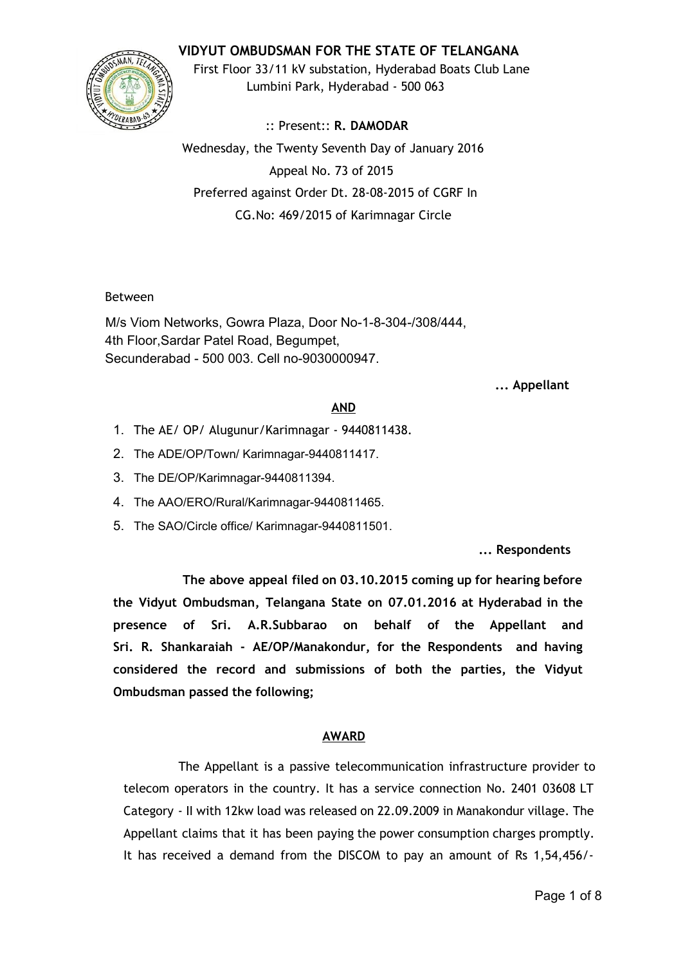# **VIDYUT OMBUDSMAN FOR THE STATE OF TELANGANA**



First Floor 33/11 kV substation, Hyderabad Boats Club Lane Lumbini Park, Hyderabad - 500 063

:: Present:: **R. DAMODAR** Wednesday, the Twenty Seventh Day of January 2016 Appeal No. 73 of 2015 Preferred against Order Dt. 28-08-2015 of CGRF In CG.No: 469/2015 of Karimnagar Circle

## Between

M/s Viom Networks, Gowra Plaza, Door No-1-8-304-/308/444, 4th Floor,Sardar Patel Road, Begumpet, Secunderabad - 500 003. Cell no-9030000947.

### **... Appellant**

## **AND**

- 1. The AE/ OP/ Alugunur/Karimnagar 9440811438.
- 2. The ADE/OP/Town/ Karimnagar-9440811417.
- 3. The DE/OP/Karimnagar-9440811394.
- 4. The AAO/ERO/Rural/Karimnagar-9440811465.
- 5. The SAO/Circle office/ Karimnagar-9440811501.

**... Respondents**

**The above appeal filed on 03.10.2015 coming up for hearing before the Vidyut Ombudsman, Telangana State on 07.01.2016 at Hyderabad in the presence of Sri. A.R.Subbarao on behalf of the Appellant and Sri. R. Shankaraiah - AE/OP/Manakondur, for the Respondents and having considered the record and submissions of both the parties, the Vidyut Ombudsman passed the following;**

#### **AWARD**

The Appellant is a passive telecommunication infrastructure provider to telecom operators in the country. It has a service connection No. 2401 03608 LT Category - II with 12kw load was released on 22.09.2009 in Manakondur village. The Appellant claims that it has been paying the power consumption charges promptly. It has received a demand from the DISCOM to pay an amount of Rs 1,54,456/-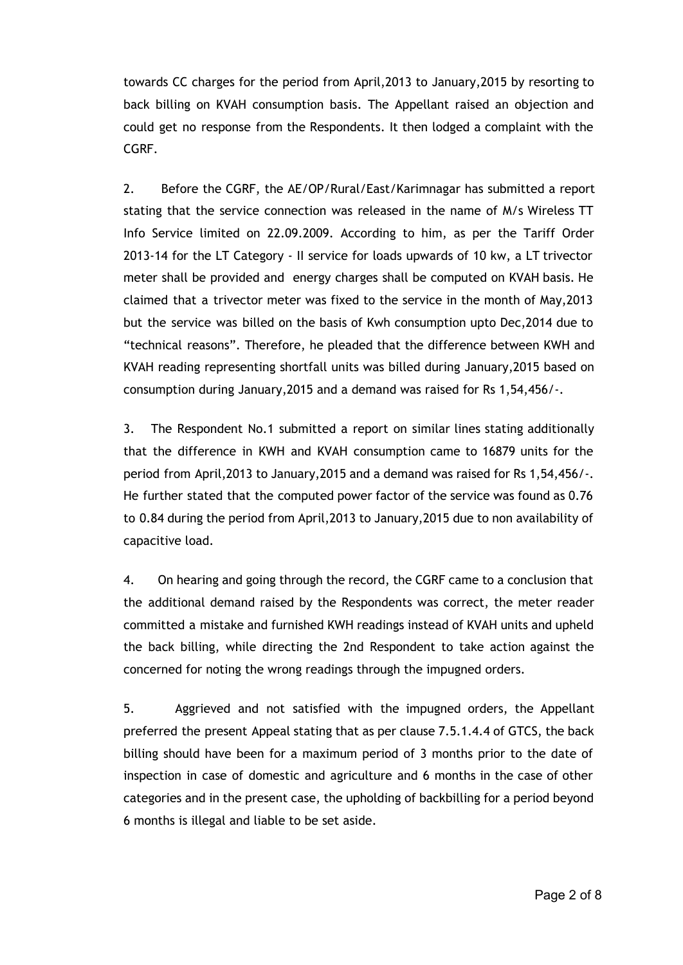towards CC charges for the period from April,2013 to January,2015 by resorting to back billing on KVAH consumption basis. The Appellant raised an objection and could get no response from the Respondents. It then lodged a complaint with the CGRF.

2. Before the CGRF, the AE/OP/Rural/East/Karimnagar has submitted a report stating that the service connection was released in the name of M/s Wireless TT Info Service limited on 22.09.2009. According to him, as per the Tariff Order 2013-14 for the LT Category - II service for loads upwards of 10 kw, a LT trivector meter shall be provided and energy charges shall be computed on KVAH basis. He claimed that a trivector meter was fixed to the service in the month of May,2013 but the service was billed on the basis of Kwh consumption upto Dec,2014 due to "technical reasons". Therefore, he pleaded that the difference between KWH and KVAH reading representing shortfall units was billed during January,2015 based on consumption during January,2015 and a demand was raised for Rs 1,54,456/-.

3. The Respondent No.1 submitted a report on similar lines stating additionally that the difference in KWH and KVAH consumption came to 16879 units for the period from April,2013 to January,2015 and a demand was raised for Rs 1,54,456/-. He further stated that the computed power factor of the service was found as 0.76 to 0.84 during the period from April,2013 to January,2015 due to non availability of capacitive load.

4. On hearing and going through the record, the CGRF came to a conclusion that the additional demand raised by the Respondents was correct, the meter reader committed a mistake and furnished KWH readings instead of KVAH units and upheld the back billing, while directing the 2nd Respondent to take action against the concerned for noting the wrong readings through the impugned orders.

5. Aggrieved and not satisfied with the impugned orders, the Appellant preferred the present Appeal stating that as per clause 7.5.1.4.4 of GTCS, the back billing should have been for a maximum period of 3 months prior to the date of inspection in case of domestic and agriculture and 6 months in the case of other categories and in the present case, the upholding of backbilling for a period beyond 6 months is illegal and liable to be set aside.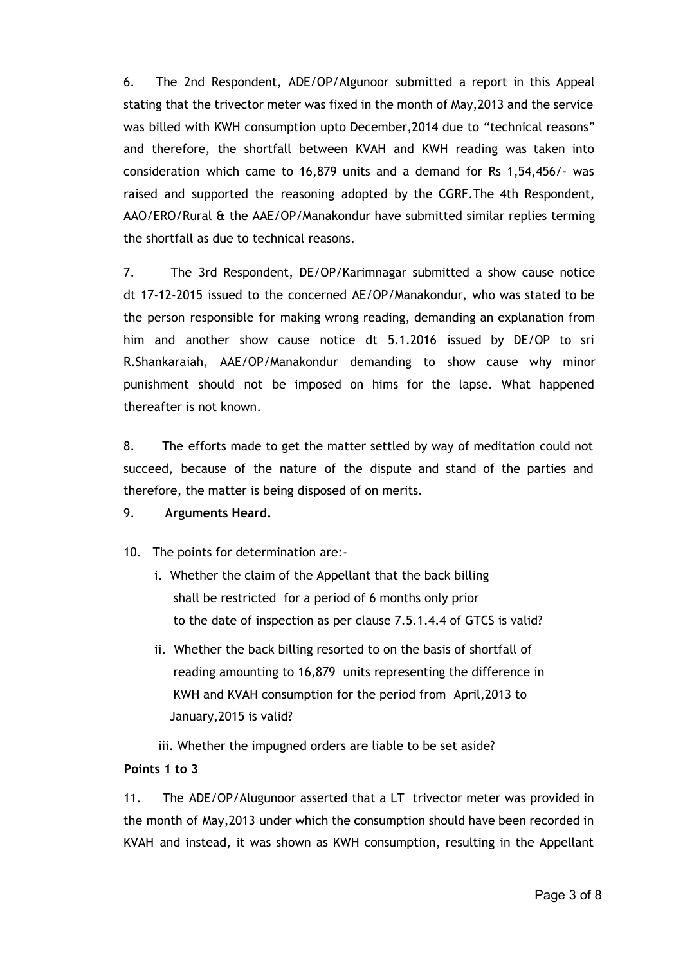6. The 2nd Respondent, ADE/OP/Algunoor submitted a report in this Appeal stating that the trivector meter was fixed in the month of May,2013 and the service was billed with KWH consumption upto December,2014 due to "technical reasons" and therefore, the shortfall between KVAH and KWH reading was taken into consideration which came to 16,879 units and a demand for Rs 1,54,456/- was raised and supported the reasoning adopted by the CGRF.The 4th Respondent, AAO/ERO/Rural & the AAE/OP/Manakondur have submitted similar replies terming the shortfall as due to technical reasons.

7. The 3rd Respondent, DE/OP/Karimnagar submitted a show cause notice dt 17-12-2015 issued to the concerned AE/OP/Manakondur, who was stated to be the person responsible for making wrong reading, demanding an explanation from him and another show cause notice dt 5.1.2016 issued by DE/OP to sri R.Shankaraiah, AAE/OP/Manakondur demanding to show cause why minor punishment should not be imposed on hims for the lapse. What happened thereafter is not known.

8. The efforts made to get the matter settled by way of meditation could not succeed, because of the nature of the dispute and stand of the parties and therefore, the matter is being disposed of on merits.

## 9. **Arguments Heard.**

10. The points for determination are:-

- i. Whether the claim of the Appellant that the back billing shall be restricted for a period of 6 months only prior to the date of inspection as per clause 7.5.1.4.4 of GTCS is valid?
- ii. Whether the back billing resorted to on the basis of shortfall of reading amounting to 16,879 units representing the difference in KWH and KVAH consumption for the period from April,2013 to January,2015 is valid?

iii. Whether the impugned orders are liable to be set aside?

## **Points 1 to 3**

11. The ADE/OP/Alugunoor asserted that a LT trivector meter was provided in the month of May,2013 under which the consumption should have been recorded in KVAH and instead, it was shown as KWH consumption, resulting in the Appellant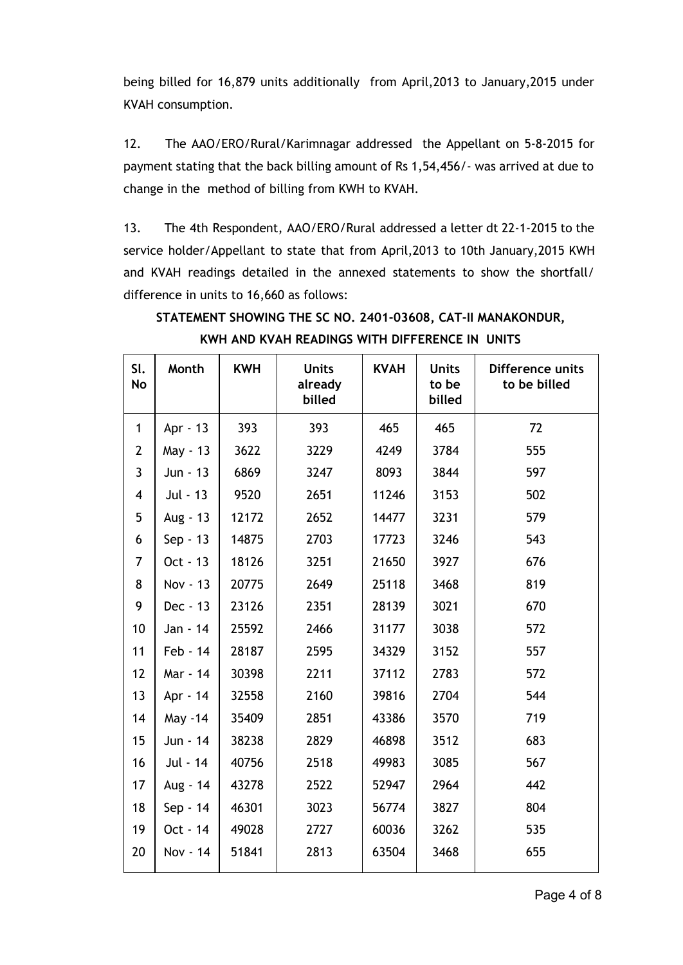being billed for 16,879 units additionally from April,2013 to January,2015 under KVAH consumption.

12. The AAO/ERO/Rural/Karimnagar addressed the Appellant on 5-8-2015 for payment stating that the back billing amount of Rs 1,54,456/- was arrived at due to change in the method of billing from KWH to KVAH.

13. The 4th Respondent, AAO/ERO/Rural addressed a letter dt 22-1-2015 to the service holder/Appellant to state that from April,2013 to 10th January,2015 KWH and KVAH readings detailed in the annexed statements to show the shortfall/ difference in units to 16,660 as follows:

| SI.<br><b>No</b> | Month    | <b>KWH</b> | <b>Units</b><br>already<br>billed | <b>KVAH</b> | <b>Units</b><br>to be<br>billed | Difference units<br>to be billed |
|------------------|----------|------------|-----------------------------------|-------------|---------------------------------|----------------------------------|
| $\mathbf{1}$     | Apr - 13 | 393        | 393                               | 465         | 465                             | 72                               |
| $\overline{2}$   | May - 13 | 3622       | 3229                              | 4249        | 3784                            | 555                              |
| $\overline{3}$   | Jun - 13 | 6869       | 3247                              | 8093        | 3844                            | 597                              |
| 4                | Jul - 13 | 9520       | 2651                              | 11246       | 3153                            | 502                              |
| 5                | Aug - 13 | 12172      | 2652                              | 14477       | 3231                            | 579                              |
| 6                | Sep - 13 | 14875      | 2703                              | 17723       | 3246                            | 543                              |
| 7                | Oct - 13 | 18126      | 3251                              | 21650       | 3927                            | 676                              |
| 8                | Nov - 13 | 20775      | 2649                              | 25118       | 3468                            | 819                              |
| 9                | Dec - 13 | 23126      | 2351                              | 28139       | 3021                            | 670                              |
| 10               | Jan - 14 | 25592      | 2466                              | 31177       | 3038                            | 572                              |
| 11               | Feb - 14 | 28187      | 2595                              | 34329       | 3152                            | 557                              |
| 12               | Mar - 14 | 30398      | 2211                              | 37112       | 2783                            | 572                              |
| 13               | Apr - 14 | 32558      | 2160                              | 39816       | 2704                            | 544                              |
| 14               | May -14  | 35409      | 2851                              | 43386       | 3570                            | 719                              |
| 15               | Jun - 14 | 38238      | 2829                              | 46898       | 3512                            | 683                              |
| 16               | Jul - 14 | 40756      | 2518                              | 49983       | 3085                            | 567                              |
| 17               | Aug - 14 | 43278      | 2522                              | 52947       | 2964                            | 442                              |
| 18               | Sep - 14 | 46301      | 3023                              | 56774       | 3827                            | 804                              |
| 19               | Oct - 14 | 49028      | 2727                              | 60036       | 3262                            | 535                              |
| 20               | Nov - 14 | 51841      | 2813                              | 63504       | 3468                            | 655                              |

**STATEMENT SHOWING THE SC NO. 2401-03608, CAT-II MANAKONDUR, KWH AND KVAH READINGS WITH DIFFERENCE IN UNITS**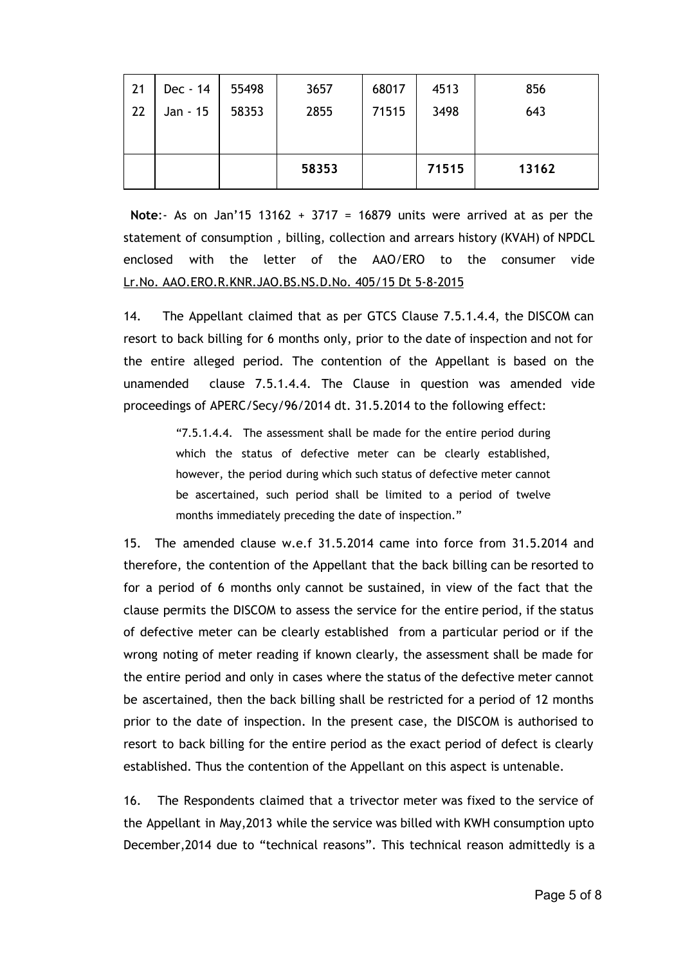|    |          |       | 58353 |       | 71515 | 13162 |
|----|----------|-------|-------|-------|-------|-------|
| 22 | Jan - 15 | 58353 | 2855  | 71515 | 3498  | 643   |
| 21 | Dec - 14 | 55498 | 3657  | 68017 | 4513  | 856   |

**Note**:- As on Jan'15 13162 + 3717 = 16879 units were arrived at as per the statement of consumption , billing, collection and arrears history (KVAH) of NPDCL enclosed with the letter of the AAO/ERO to the consumer vide Lr.No. AAO.ERO.R.KNR.JAO.BS.NS.D.No. 405/15 Dt 5-8-2015

14. The Appellant claimed that as per GTCS Clause 7.5.1.4.4, the DISCOM can resort to back billing for 6 months only, prior to the date of inspection and not for the entire alleged period. The contention of the Appellant is based on the unamended clause 7.5.1.4.4. The Clause in question was amended vide proceedings of APERC/Secy/96/2014 dt. 31.5.2014 to the following effect:

> "7.5.1.4.4. The assessment shall be made for the entire period during which the status of defective meter can be clearly established, however, the period during which such status of defective meter cannot be ascertained, such period shall be limited to a period of twelve months immediately preceding the date of inspection."

15. The amended clause w.e.f 31.5.2014 came into force from 31.5.2014 and therefore, the contention of the Appellant that the back billing can be resorted to for a period of 6 months only cannot be sustained, in view of the fact that the clause permits the DISCOM to assess the service for the entire period, if the status of defective meter can be clearly established from a particular period or if the wrong noting of meter reading if known clearly, the assessment shall be made for the entire period and only in cases where the status of the defective meter cannot be ascertained, then the back billing shall be restricted for a period of 12 months prior to the date of inspection. In the present case, the DISCOM is authorised to resort to back billing for the entire period as the exact period of defect is clearly established. Thus the contention of the Appellant on this aspect is untenable.

16. The Respondents claimed that a trivector meter was fixed to the service of the Appellant in May,2013 while the service was billed with KWH consumption upto December,2014 due to "technical reasons". This technical reason admittedly is a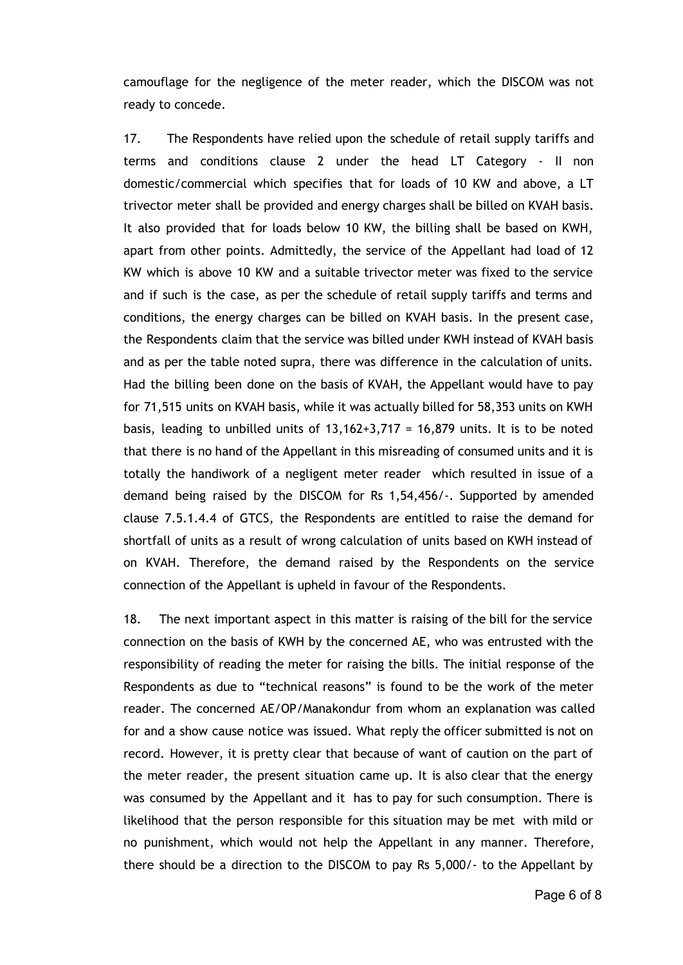camouflage for the negligence of the meter reader, which the DISCOM was not ready to concede.

17. The Respondents have relied upon the schedule of retail supply tariffs and terms and conditions clause 2 under the head LT Category - II non domestic/commercial which specifies that for loads of 10 KW and above, a LT trivector meter shall be provided and energy charges shall be billed on KVAH basis. It also provided that for loads below 10 KW, the billing shall be based on KWH, apart from other points. Admittedly, the service of the Appellant had load of 12 KW which is above 10 KW and a suitable trivector meter was fixed to the service and if such is the case, as per the schedule of retail supply tariffs and terms and conditions, the energy charges can be billed on KVAH basis. In the present case, the Respondents claim that the service was billed under KWH instead of KVAH basis and as per the table noted supra, there was difference in the calculation of units. Had the billing been done on the basis of KVAH, the Appellant would have to pay for 71,515 units on KVAH basis, while it was actually billed for 58,353 units on KWH basis, leading to unbilled units of  $13,162+3,717 = 16,879$  units. It is to be noted that there is no hand of the Appellant in this misreading of consumed units and it is totally the handiwork of a negligent meter reader which resulted in issue of a demand being raised by the DISCOM for Rs 1,54,456/-. Supported by amended clause 7.5.1.4.4 of GTCS, the Respondents are entitled to raise the demand for shortfall of units as a result of wrong calculation of units based on KWH instead of on KVAH. Therefore, the demand raised by the Respondents on the service connection of the Appellant is upheld in favour of the Respondents.

18. The next important aspect in this matter is raising of the bill for the service connection on the basis of KWH by the concerned AE, who was entrusted with the responsibility of reading the meter for raising the bills. The initial response of the Respondents as due to "technical reasons" is found to be the work of the meter reader. The concerned AE/OP/Manakondur from whom an explanation was called for and a show cause notice was issued. What reply the officer submitted is not on record. However, it is pretty clear that because of want of caution on the part of the meter reader, the present situation came up. It is also clear that the energy was consumed by the Appellant and it has to pay for such consumption. There is likelihood that the person responsible for this situation may be met with mild or no punishment, which would not help the Appellant in any manner. Therefore, there should be a direction to the DISCOM to pay Rs 5,000/- to the Appellant by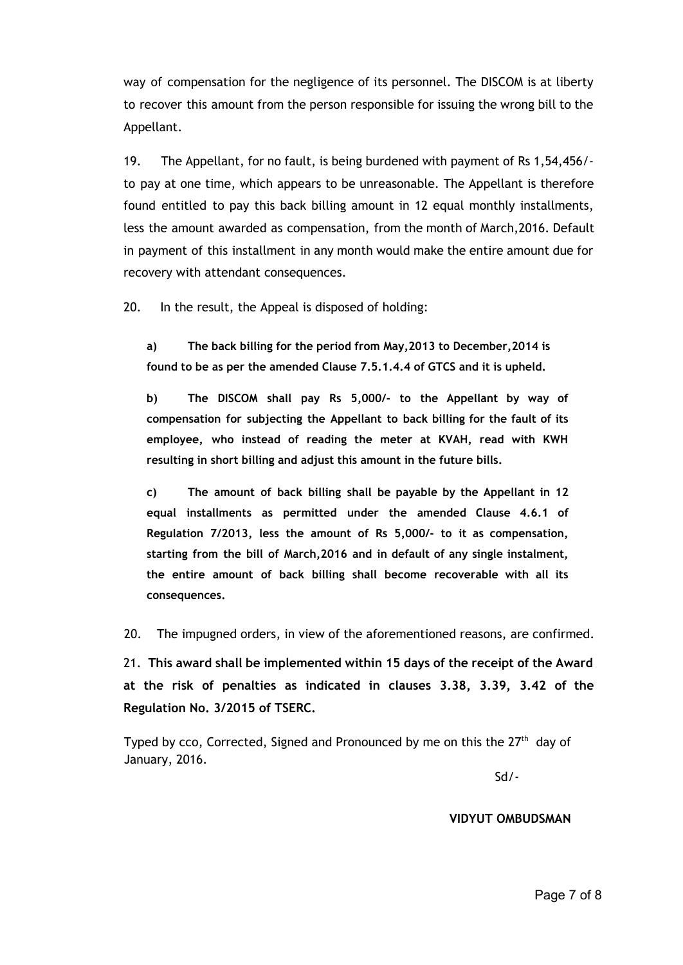way of compensation for the negligence of its personnel. The DISCOM is at liberty to recover this amount from the person responsible for issuing the wrong bill to the Appellant.

19. The Appellant, for no fault, is being burdened with payment of Rs 1,54,456/ to pay at one time, which appears to be unreasonable. The Appellant is therefore found entitled to pay this back billing amount in 12 equal monthly installments, less the amount awarded as compensation, from the month of March,2016. Default in payment of this installment in any month would make the entire amount due for recovery with attendant consequences.

20. In the result, the Appeal is disposed of holding:

**a) The back billing for the period from May,2013 to December,2014 is found to be as per the amended Clause 7.5.1.4.4 of GTCS and it is upheld.**

**b) The DISCOM shall pay Rs 5,000/- to the Appellant by way of compensation for subjecting the Appellant to back billing for the fault of its employee, who instead of reading the meter at KVAH, read with KWH resulting in short billing and adjust this amount in the future bills.**

**c) The amount of back billing shall be payable by the Appellant in 12 equal installments as permitted under the amended Clause 4.6.1 of Regulation 7/2013, less the amount of Rs 5,000/- to it as compensation, starting from the bill of March,2016 and in default of any single instalment, the entire amount of back billing shall become recoverable with all its consequences.**

20. The impugned orders, in view of the aforementioned reasons, are confirmed.

21. **This award shall be implemented within 15 days of the receipt of the Award at the risk of penalties as indicated in clauses 3.38, 3.39, 3.42 of the Regulation No. 3/2015 of TSERC.**

Typed by cco, Corrected, Signed and Pronounced by me on this the  $27<sup>th</sup>$  day of January, 2016.

Sd/-

**VIDYUT OMBUDSMAN**